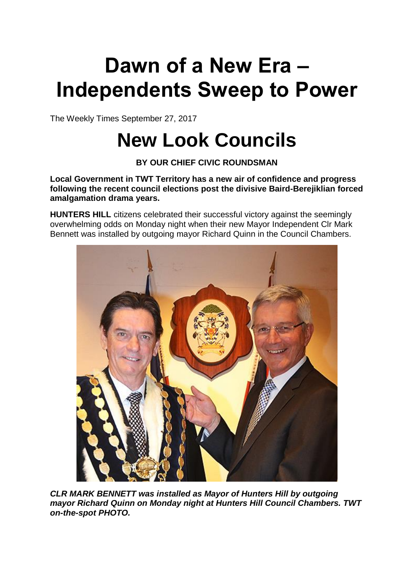## **Dawn of a New Era – Independents Sweep to Power**

The Weekly Times September 27, 2017

## **New Look Councils**

**BY OUR CHIEF CIVIC ROUNDSMAN**

**Local Government in TWT Territory has a new air of confidence and progress following the recent council elections post the divisive Baird-Berejiklian forced amalgamation drama years.**

**HUNTERS HILL** citizens celebrated their successful victory against the seemingly overwhelming odds on Monday night when their new Mayor Independent Clr Mark Bennett was installed by outgoing mayor Richard Quinn in the Council Chambers.



*CLR MARK BENNETT was installed as Mayor of Hunters Hill by outgoing mayor Richard Quinn on Monday night at Hunters Hill Council Chambers. TWT on-the-spot PHOTO.*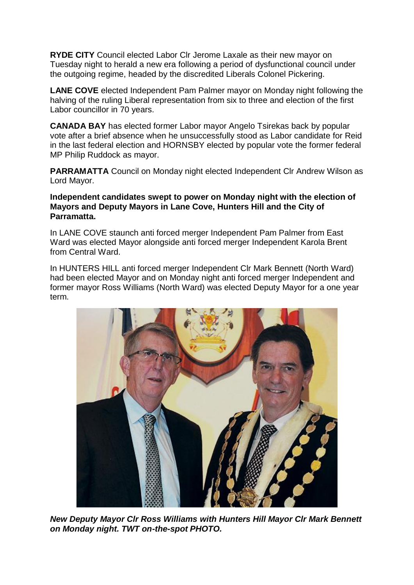**RYDE CITY** Council elected Labor Clr Jerome Laxale as their new mayor on Tuesday night to herald a new era following a period of dysfunctional council under the outgoing regime, headed by the discredited Liberals Colonel Pickering.

**LANE COVE** elected Independent Pam Palmer mayor on Monday night following the halving of the ruling Liberal representation from six to three and election of the first Labor councillor in 70 years.

**CANADA BAY** has elected former Labor mayor Angelo Tsirekas back by popular vote after a brief absence when he unsuccessfully stood as Labor candidate for Reid in the last federal election and HORNSBY elected by popular vote the former federal MP Philip Ruddock as mayor.

**PARRAMATTA** Council on Monday night elected Independent Clr Andrew Wilson as Lord Mayor.

## **Independent candidates swept to power on Monday night with the election of Mayors and Deputy Mayors in Lane Cove, Hunters Hill and the City of Parramatta.**

In LANE COVE staunch anti forced merger Independent Pam Palmer from East Ward was elected Mayor alongside anti forced merger Independent Karola Brent from Central Ward.

In HUNTERS HILL anti forced merger Independent Clr Mark Bennett (North Ward) had been elected Mayor and on Monday night anti forced merger Independent and former mayor Ross Williams (North Ward) was elected Deputy Mayor for a one year term.



*New Deputy Mayor Clr Ross Williams with Hunters Hill Mayor Clr Mark Bennett on Monday night. TWT on-the-spot PHOTO.*